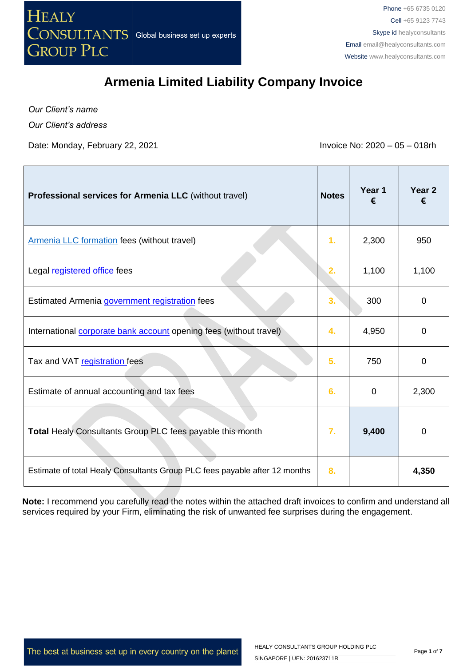

*Our Client's name*

ľ

*Our Client's address*

Date: Monday, February 22, 2021 **Invoice No: 2020** – 05 – 018rh

 $\overline{\phantom{a}}$ 

┰

×.

| Professional services for Armenia LLC (without travel)                     | <b>Notes</b> | Year 1<br>€  | Year 2<br>€    |
|----------------------------------------------------------------------------|--------------|--------------|----------------|
| Armenia LLC formation fees (without travel)                                | 1.           | 2,300        | 950            |
| Legal registered office fees                                               | 2.           | 1,100        | 1,100          |
| Estimated Armenia government registration fees                             | 3.           | 300          | $\overline{0}$ |
| International <b>corporate bank account</b> opening fees (without travel)  | 4.           | 4,950        | 0              |
| Tax and VAT registration fees                                              | 5.           | 750          | 0              |
| Estimate of annual accounting and tax fees                                 | 6.           | $\mathbf{0}$ | 2,300          |
| Total Healy Consultants Group PLC fees payable this month                  | 7.           | 9,400        | 0              |
| Estimate of total Healy Consultants Group PLC fees payable after 12 months | 8.           |              | 4,350          |

**Note:** I recommend you carefully read the notes within the attached draft invoices to confirm and understand all services required by your Firm, eliminating the risk of unwanted fee surprises during the engagement.

The best at business set up in every country on the planet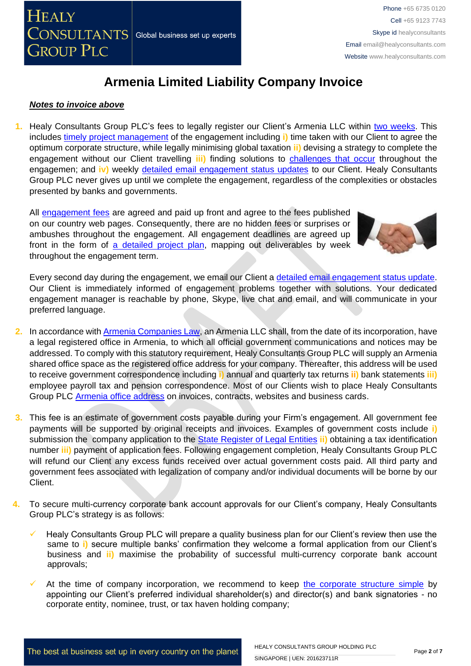

#### *Notes to invoice above*

**1.** Healy Consultants Group PLC's fees to legally register our Client's Armenia LLC within [two weeks.](https://www.healyconsultants.com/armenia-company-registration/fees-timelines/) This includes [timely project management](http://www.healyconsultants.com/project-manage-engagements/) of the engagement including **i)** time taken with our Client to agree the optimum corporate structure, while legally minimising global taxation **ii)** devising a strategy to complete the engagement without our Client travelling *iii*) finding solutions to [challenges that occur](http://www.healyconsultants.com/engagement-project-management/) throughout the engagemen; and **iv)** weekly [detailed email engagement status updates](http://www.healyconsultants.com/index-important-links/weekly-engagement-status-email/) to our Client. Healy Consultants Group PLC never gives up until we complete the engagement, regardless of the complexities or obstacles presented by banks and governments.

All [engagement fees](http://www.healyconsultants.com/company-registration-fees/) are agreed and paid up front and agree to the fees published on our country web pages. Consequently, there are no hidden fees or surprises or ambushes throughout the engagement. All engagement deadlines are agreed up front in the form of [a detailed project plan,](http://www.healyconsultants.com/index-important-links/example-project-plan/) mapping out deliverables by week throughout the engagement term.

Every second day during the engagement, we email our Client a [detailed email engagement status update.](http://www.healyconsultants.com/index-important-links/weekly-engagement-status-email/) Our Client is immediately informed of engagement problems together with solutions. Your dedicated engagement manager is reachable by phone, Skype, live chat and email, and will communicate in your preferred language.

- **2.** In accordance wit[h Armenia Companies Law,](http://www.parliament.am/law_docs/211101HO252eng.pdf) an Armenia LLC shall, from the date of its incorporation, have a legal registered office in Armenia, to which all official government communications and notices may be addressed. To comply with this statutory requirement, Healy Consultants Group PLC will supply an Armenia shared office space as the registered office address for your company. Thereafter, this address will be used to receive government correspondence including **i)** annual and quarterly tax returns **ii)** bank statements **iii)** employee payroll tax and pension correspondence. Most of our Clients wish to place Healy Consultants Group PLC [Armenia office address](http://www.healyconsultants.com/virtual-office/) on invoices, contracts, websites and business cards.
- **3.** This fee is an estimate of government costs payable during your Firm's engagement. All government fee payments will be supported by original receipts and invoices. Examples of government costs include **i)** submission the company application to the [State Register of Legal Entities](http://www.spyur.am/en/companies/state-register-agency-of-legal-entities-of-the-republic-of-armenia/70292) **ii)** obtaining a tax identification number **iii)** payment of application fees. Following engagement completion, Healy Consultants Group PLC will refund our Client any excess funds received over actual government costs paid. All third party and government fees associated with legalization of company and/or individual documents will be borne by our Client.
- **4.** To secure multi-currency corporate bank account approvals for our Client's company, Healy Consultants Group PLC's strategy is as follows:
	- Healy Consultants Group PLC will prepare a quality business plan for our Client's review then use the same to **i)** secure multiple banks' confirmation they welcome a formal application from our Client's business and **ii)** maximise the probability of successful multi-currency corporate bank account approvals;
	- At the time of company incorporation, we recommend to keep [the corporate structure simple](https://www.healyconsultants.com/about-us/complex-client-engagements/simplify-business-setup/) by appointing our Client's preferred individual shareholder(s) and director(s) and bank signatories - no corporate entity, nominee, trust, or tax haven holding company;



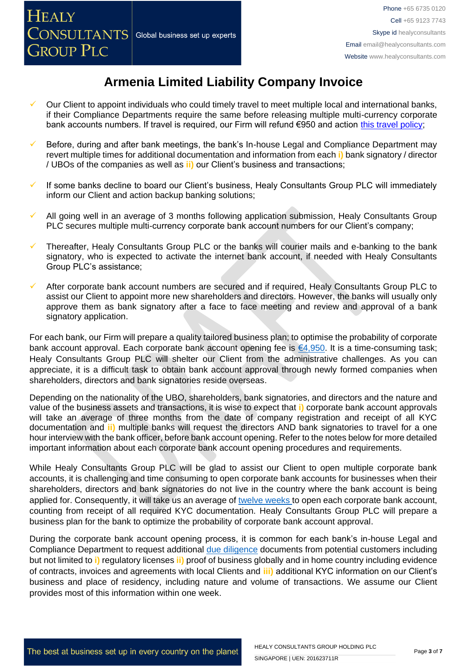- Our Client to appoint individuals who could timely travel to meet multiple local and international banks, if their Compliance Departments require the same before releasing multiple multi-currency corporate bank accounts numbers. If travel is required, our Firm will refund €950 and action [this travel policy;](https://www.healyconsultants.com/international-banking/corporate-accounts/meet-bank-officer/)
- Before, during and after bank meetings, the bank's In-house Legal and Compliance Department may revert multiple times for additional documentation and information from each **i)** bank signatory / director / UBOs of the companies as well as **ii)** our Client's business and transactions;
- If some banks decline to board our Client's business, Healy Consultants Group PLC will immediately inform our Client and action backup banking solutions;
- All going well in an average of 3 months following application submission, Healy Consultants Group PLC secures multiple multi-currency corporate bank account numbers for our Client's company;
- Thereafter, Healy Consultants Group PLC or the banks will courier mails and e-banking to the bank signatory, who is expected to activate the internet bank account, if needed with Healy Consultants Group PLC's assistance;
- After corporate bank account numbers are secured and if required, Healy Consultants Group PLC to assist our Client to appoint more new shareholders and directors. However, the banks will usually only approve them as bank signatory after a face to face meeting and review and approval of a bank signatory application.

For each bank, our Firm will prepare a quality tailored business plan; to optimise the probability of corporate bank account approval. Each corporate bank account opening fee is [€4,950.](https://www.healyconsultants.com/corporate-banking-services/guaranteed-corporate-bank-account-approvals/) It is a time-consuming task; Healy Consultants Group PLC will shelter our Client from the administrative challenges. As you can appreciate, it is a difficult task to obtain bank account approval through newly formed companies when shareholders, directors and bank signatories reside overseas.

Depending on the nationality of the UBO, shareholders, bank signatories, and directors and the nature and value of the business assets and transactions, it is wise to expect that **i)** corporate bank account approvals will take an average of three months from the date of company registration and receipt of all KYC documentation and **ii)** multiple banks will request the directors AND bank signatories to travel for a one hour interview with the bank officer, before bank account opening. Refer to the notes below for more detailed important information about each corporate bank account opening procedures and requirements.

While Healy Consultants Group PLC will be glad to assist our Client to open multiple corporate bank accounts, it is challenging and time consuming to open corporate bank accounts for businesses when their shareholders, directors and bank signatories do not live in the country where the bank account is being applied for. Consequently, it will take us an average of [twelve weeks](http://www.healyconsultants.com/international-banking/bitcoin-business-bank-account/) to open each corporate bank account, counting from receipt of all required KYC documentation. Healy Consultants Group PLC will prepare a business plan for the bank to optimize the probability of corporate bank account approval.

During the corporate bank account opening process, it is common for each bank's in-house Legal and Compliance Department to request additional [due diligence](http://www.healyconsultants.com/due-diligence/) documents from potential customers including but not limited to **i)** regulatory licenses **ii)** proof of business globally and in home country including evidence of contracts, invoices and agreements with local Clients and **iii)** additional KYC information on our Client's business and place of residency, including nature and volume of transactions. We assume our Client provides most of this information within one week.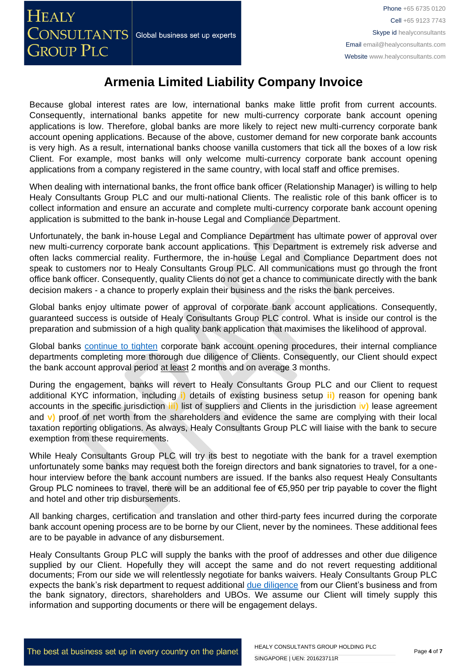Because global interest rates are low, international banks make little profit from current accounts. Consequently, international banks appetite for new multi-currency corporate bank account opening applications is low. Therefore, global banks are more likely to reject new multi-currency corporate bank account opening applications. Because of the above, customer demand for new corporate bank accounts is very high. As a result, international banks choose vanilla customers that tick all the boxes of a low risk Client. For example, most banks will only welcome multi-currency corporate bank account opening applications from a company registered in the same country, with local staff and office premises.

When dealing with international banks, the front office bank officer (Relationship Manager) is willing to help Healy Consultants Group PLC and our multi-national Clients. The realistic role of this bank officer is to collect information and ensure an accurate and complete multi-currency corporate bank account opening application is submitted to the bank in-house Legal and Compliance Department.

Unfortunately, the bank in-house Legal and Compliance Department has ultimate power of approval over new multi-currency corporate bank account applications. This Department is extremely risk adverse and often lacks commercial reality. Furthermore, the in-house Legal and Compliance Department does not speak to customers nor to Healy Consultants Group PLC. All communications must go through the front office bank officer. Consequently, quality Clients do not get a chance to communicate directly with the bank decision makers - a chance to properly explain their business and the risks the bank perceives.

Global banks enjoy ultimate power of approval of corporate bank account applications. Consequently, guaranteed success is outside of Healy Consultants Group PLC control. What is inside our control is the preparation and submission of a high quality bank application that maximises the likelihood of approval.

Global banks [continue to tighten](https://www.healyconsultants.com/international-banking/opening-corporate-bank-accounts/) corporate bank account opening procedures, their internal compliance departments completing more thorough due diligence of Clients. Consequently, our Client should expect the bank account approval period at least 2 months and on average 3 months.

During the engagement, banks will revert to Healy Consultants Group PLC and our Client to request additional KYC information, including **i)** details of existing business setup **ii)** reason for opening bank accounts in the specific jurisdiction **iii)** list of suppliers and Clients in the jurisdiction i**v)** lease agreement and **v)** proof of net worth from the shareholders and evidence the same are complying with their local taxation reporting obligations. As always, Healy Consultants Group PLC will liaise with the bank to secure exemption from these requirements.

While Healy Consultants Group PLC will try its best to negotiate with the bank for a travel exemption unfortunately some banks may request both the foreign directors and bank signatories to travel, for a onehour interview before the bank account numbers are issued. If the banks also request Healy Consultants Group PLC nominees to travel, there will be an additional fee of €5,950 per trip payable to cover the flight and hotel and other trip disbursements.

All banking charges, certification and translation and other third-party fees incurred during the corporate bank account opening process are to be borne by our Client, never by the nominees. These additional fees are to be payable in advance of any disbursement.

Healy Consultants Group PLC will supply the banks with the proof of addresses and other due diligence supplied by our Client. Hopefully they will accept the same and do not revert requesting additional documents; From our side we will relentlessly negotiate for banks waivers. Healy Consultants Group PLC expects the bank's risk department to request additional [due diligence](http://www.healyconsultants.com/due-diligence/) from our Client's business and from the bank signatory, directors, shareholders and UBOs. We assume our Client will timely supply this information and supporting documents or there will be engagement delays.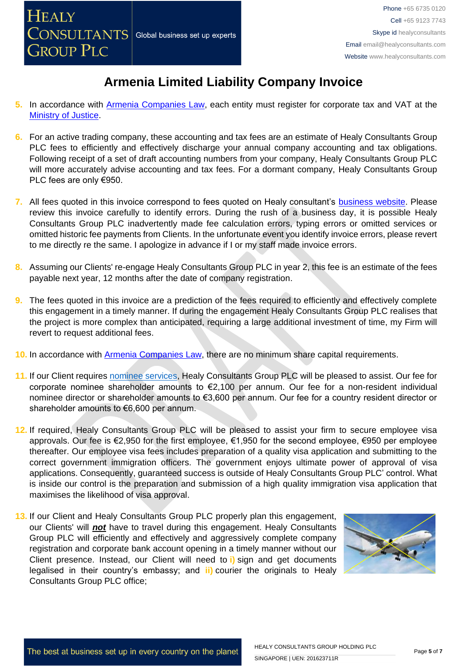

- **5.** In accordance with [Armenia Companies Law,](http://www.parliament.am/law_docs/211101HO252eng.pdf) each entity must register for corporate tax and VAT at the [Ministry of Justice.](http://www.gov.am/en/structure/3/)
- **6.** For an active trading company, these accounting and tax fees are an estimate of Healy Consultants Group PLC fees to efficiently and effectively discharge your annual company accounting and tax obligations. Following receipt of a set of draft accounting numbers from your company, Healy Consultants Group PLC will more accurately advise accounting and tax fees. For a dormant company, Healy Consultants Group PLC fees are only €950.
- **7.** All fees quoted in this invoice correspond to fees quoted on Healy consultant's **business website**. Please review this invoice carefully to identify errors. During the rush of a business day, it is possible Healy Consultants Group PLC inadvertently made fee calculation errors, typing errors or omitted services or omitted historic fee payments from Clients. In the unfortunate event you identify invoice errors, please revert to me directly re the same. I apologize in advance if I or my staff made invoice errors.
- **8.** Assuming our Clients' re-engage Healy Consultants Group PLC in year 2, this fee is an estimate of the fees payable next year, 12 months after the date of company registration.
- **9.** The fees quoted in this invoice are a prediction of the fees required to efficiently and effectively complete this engagement in a timely manner. If during the engagement Healy Consultants Group PLC realises that the project is more complex than anticipated, requiring a large additional investment of time, my Firm will revert to request additional fees.
- 10. In accordance with **Armenia Companies Law**, there are no minimum share capital requirements.
- **11.** If our Client requires [nominee services,](http://www.healyconsultants.com/corporate-outsourcing-services/nominee-shareholders-directors/) Healy Consultants Group PLC will be pleased to assist. Our fee for corporate nominee shareholder amounts to €2,100 per annum. Our fee for a non-resident individual nominee director or shareholder amounts to €3,600 per annum. Our fee for a country resident director or shareholder amounts to €6,600 per annum.
- **12.** If required, Healy Consultants Group PLC will be pleased to assist your firm to secure employee visa approvals. Our fee is €2,950 for the first employee, €1,950 for the second employee, €950 per employee thereafter. Our employee visa fees includes preparation of a quality visa application and submitting to the correct government immigration officers. The government enjoys ultimate power of approval of visa applications. Consequently, guaranteed success is outside of Healy Consultants Group PLC' control. What is inside our control is the preparation and submission of a high quality immigration visa application that maximises the likelihood of visa approval.
- **13.** If our Client and Healy Consultants Group PLC properly plan this engagement, our Clients' will *not* have to travel during this engagement. Healy Consultants Group PLC will efficiently and effectively and aggressively complete company registration and corporate bank account opening in a timely manner without our Client presence. Instead, our Client will need to **i)** sign and get documents legalised in their country's embassy; and **ii)** courier the originals to Healy Consultants Group PLC office;

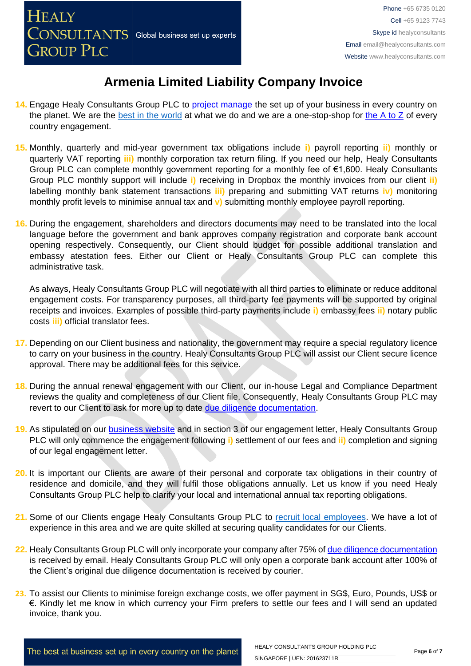- 14. Engage Healy Consultants Group PLC to [project manage](http://www.healyconsultants.com/project-manage-engagements/) the set up of your business in every country on the planet. We are the [best in the world](http://www.healyconsultants.com/best-in-the-world/) at what we do and we are a one-stop-shop for the  $A$  to  $Z$  of every country engagement.
- **15.** Monthly, quarterly and mid-year government tax obligations include **i)** payroll reporting **ii)** monthly or quarterly VAT reporting **iii)** monthly corporation tax return filing. If you need our help, Healy Consultants Group PLC can complete monthly government reporting for a monthly fee of €1,600. Healy Consultants Group PLC monthly support will include **i)** receiving in Dropbox the monthly invoices from our client **ii)** labelling monthly bank statement transactions **iii)** preparing and submitting VAT returns **iv)** monitoring monthly profit levels to minimise annual tax and **v)** submitting monthly employee payroll reporting.
- **16.** During the engagement, shareholders and directors documents may need to be translated into the local language before the government and bank approves company registration and corporate bank account opening respectively. Consequently, our Client should budget for possible additional translation and embassy atestation fees. Either our Client or Healy Consultants Group PLC can complete this administrative task.

As always, Healy Consultants Group PLC will negotiate with all third parties to eliminate or reduce additonal engagement costs. For transparency purposes, all third-party fee payments will be supported by original receipts and invoices. Examples of possible third-party payments include **i)** embassy fees **ii)** notary public costs **iii)** official translator fees.

- **17.** Depending on our Client business and nationality, the government may require a special regulatory licence to carry on your business in the country. Healy Consultants Group PLC will assist our Client secure licence approval. There may be additional fees for this service.
- **18.** During the annual renewal engagement with our Client, our in-house Legal and Compliance Department reviews the quality and completeness of our Client file. Consequently, Healy Consultants Group PLC may revert to our Client to ask for more up to date [due diligence documentation.](http://www.healyconsultants.com/due-diligence/)
- **19.** As stipulated on our [business website](http://www.healyconsultants.com/) and in section 3 of our engagement letter, Healy Consultants Group PLC will only commence the engagement following **i)** settlement of our fees and **ii)** completion and signing of our legal engagement letter.
- **20.** It is important our Clients are aware of their personal and corporate tax obligations in their country of residence and domicile, and they will fulfil those obligations annually. Let us know if you need Healy Consultants Group PLC help to clarify your local and international annual tax reporting obligations.
- **21.** Some of our Clients engage Healy Consultants Group PLC to [recruit local employees.](http://www.healyconsultants.com/corporate-outsourcing-services/how-we-help-our-clients-recruit-quality-employees/) We have a lot of experience in this area and we are quite skilled at securing quality candidates for our Clients.
- **22.** Healy Consultants Group PLC will only incorporate your company after 75% of [due diligence documentation](http://www.healyconsultants.com/due-diligence/) is received by email. Healy Consultants Group PLC will only open a corporate bank account after 100% of the Client's original due diligence documentation is received by courier.
- **23.** To assist our Clients to minimise foreign exchange costs, we offer payment in SG\$, Euro, Pounds, US\$ or €. Kindly let me know in which currency your Firm prefers to settle our fees and I will send an updated invoice, thank you.